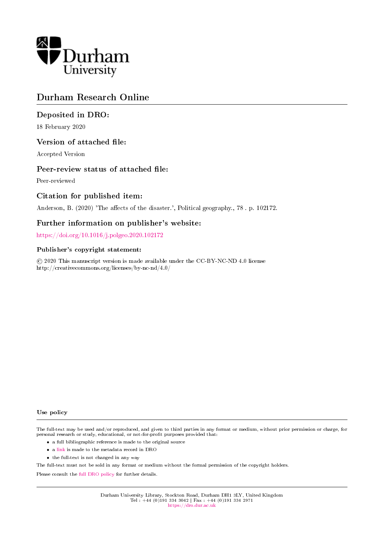

# Durham Research Online

# Deposited in DRO:

18 February 2020

### Version of attached file:

Accepted Version

#### Peer-review status of attached file:

Peer-reviewed

# Citation for published item:

Anderson, B. (2020) 'The affects of the disaster.', Political geography., 78 . p. 102172.

#### Further information on publisher's website:

<https://doi.org/10.1016/j.polgeo.2020.102172>

#### Publisher's copyright statement:

 c 2020 This manuscript version is made available under the CC-BY-NC-ND 4.0 license http://creativecommons.org/licenses/by-nc-nd/4.0/

Use policy

The full-text may be used and/or reproduced, and given to third parties in any format or medium, without prior permission or charge, for personal research or study, educational, or not-for-profit purposes provided that:

- a full bibliographic reference is made to the original source
- a [link](http://dro.dur.ac.uk/30251/) is made to the metadata record in DRO
- the full-text is not changed in any way

The full-text must not be sold in any format or medium without the formal permission of the copyright holders.

Please consult the [full DRO policy](https://dro.dur.ac.uk/policies/usepolicy.pdf) for further details.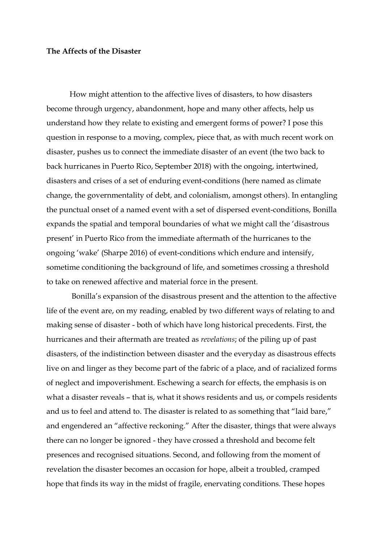## **The Affects of the Disaster**

How might attention to the affective lives of disasters, to how disasters become through urgency, abandonment, hope and many other affects, help us understand how they relate to existing and emergent forms of power? I pose this question in response to a moving, complex, piece that, as with much recent work on disaster, pushes us to connect the immediate disaster of an event (the two back to back hurricanes in Puerto Rico, September 2018) with the ongoing, intertwined, disasters and crises of a set of enduring event-conditions (here named as climate change, the governmentality of debt, and colonialism, amongst others). In entangling the punctual onset of a named event with a set of dispersed event-conditions, Bonilla expands the spatial and temporal boundaries of what we might call the 'disastrous present' in Puerto Rico from the immediate aftermath of the hurricanes to the ongoing 'wake' (Sharpe 2016) of event-conditions which endure and intensify, sometime conditioning the background of life, and sometimes crossing a threshold to take on renewed affective and material force in the present.

Bonilla's expansion of the disastrous present and the attention to the affective life of the event are, on my reading, enabled by two different ways of relating to and making sense of disaster - both of which have long historical precedents. First, the hurricanes and their aftermath are treated as *revelations*; of the piling up of past disasters, of the indistinction between disaster and the everyday as disastrous effects live on and linger as they become part of the fabric of a place, and of racialized forms of neglect and impoverishment. Eschewing a search for effects, the emphasis is on what a disaster reveals – that is, what it shows residents and us, or compels residents and us to feel and attend to. The disaster is related to as something that "laid bare," and engendered an "affective reckoning." After the disaster, things that were always there can no longer be ignored - they have crossed a threshold and become felt presences and recognised situations. Second, and following from the moment of revelation the disaster becomes an occasion for hope, albeit a troubled, cramped hope that finds its way in the midst of fragile, enervating conditions. These hopes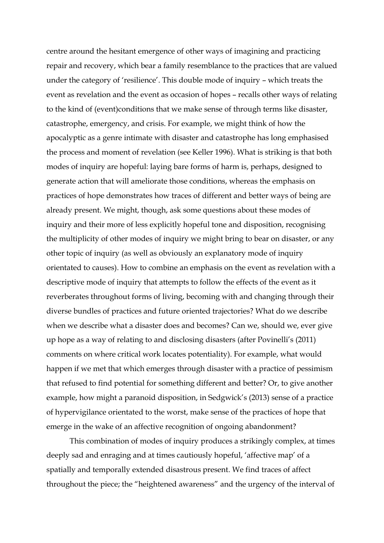centre around the hesitant emergence of other ways of imagining and practicing repair and recovery, which bear a family resemblance to the practices that are valued under the category of 'resilience'. This double mode of inquiry – which treats the event as revelation and the event as occasion of hopes – recalls other ways of relating to the kind of (event)conditions that we make sense of through terms like disaster, catastrophe, emergency, and crisis. For example, we might think of how the apocalyptic as a genre intimate with disaster and catastrophe has long emphasised the process and moment of revelation (see Keller 1996). What is striking is that both modes of inquiry are hopeful: laying bare forms of harm is, perhaps, designed to generate action that will ameliorate those conditions, whereas the emphasis on practices of hope demonstrates how traces of different and better ways of being are already present. We might, though, ask some questions about these modes of inquiry and their more of less explicitly hopeful tone and disposition, recognising the multiplicity of other modes of inquiry we might bring to bear on disaster, or any other topic of inquiry (as well as obviously an explanatory mode of inquiry orientated to causes). How to combine an emphasis on the event as revelation with a descriptive mode of inquiry that attempts to follow the effects of the event as it reverberates throughout forms of living, becoming with and changing through their diverse bundles of practices and future oriented trajectories? What do we describe when we describe what a disaster does and becomes? Can we, should we, ever give up hope as a way of relating to and disclosing disasters (after Povinelli's (2011) comments on where critical work locates potentiality). For example, what would happen if we met that which emerges through disaster with a practice of pessimism that refused to find potential for something different and better? Or, to give another example, how might a paranoid disposition, in Sedgwick's (2013) sense of a practice of hypervigilance orientated to the worst, make sense of the practices of hope that emerge in the wake of an affective recognition of ongoing abandonment?

This combination of modes of inquiry produces a strikingly complex, at times deeply sad and enraging and at times cautiously hopeful, 'affective map' of a spatially and temporally extended disastrous present. We find traces of affect throughout the piece; the "heightened awareness" and the urgency of the interval of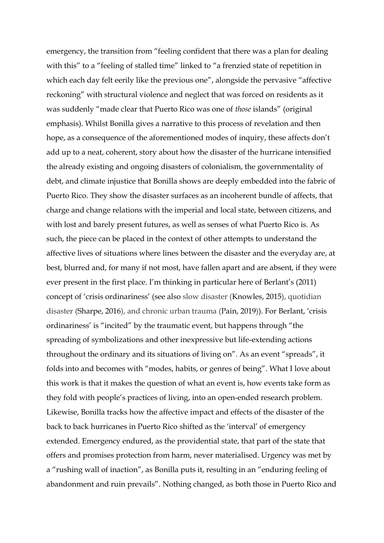emergency, the transition from "feeling confident that there was a plan for dealing with this" to a "feeling of stalled time" linked to "a frenzied state of repetition in which each day felt eerily like the previous one", alongside the pervasive "affective reckoning" with structural violence and neglect that was forced on residents as it was suddenly "made clear that Puerto Rico was one of *those* islands" (original emphasis). Whilst Bonilla gives a narrative to this process of revelation and then hope, as a consequence of the aforementioned modes of inquiry, these affects don't add up to a neat, coherent, story about how the disaster of the hurricane intensified the already existing and ongoing disasters of colonialism, the governmentality of debt, and climate injustice that Bonilla shows are deeply embedded into the fabric of Puerto Rico. They show the disaster surfaces as an incoherent bundle of affects, that charge and change relations with the imperial and local state, between citizens, and with lost and barely present futures, as well as senses of what Puerto Rico is. As such, the piece can be placed in the context of other attempts to understand the affective lives of situations where lines between the disaster and the everyday are, at best, blurred and, for many if not most, have fallen apart and are absent, if they were ever present in the first place. I'm thinking in particular here of Berlant's (2011) concept of 'crisis ordinariness' (see also slow disaster (Knowles, 2015), quotidian disaster (Sharpe, 2016), and chronic urban trauma (Pain, 2019)). For Berlant, 'crisis ordinariness' is "incited" by the traumatic event, but happens through "the spreading of symbolizations and other inexpressive but life-extending actions throughout the ordinary and its situations of living on". As an event "spreads", it folds into and becomes with "modes, habits, or genres of being". What I love about this work is that it makes the question of what an event is, how events take form as they fold with people's practices of living, into an open-ended research problem. Likewise, Bonilla tracks how the affective impact and effects of the disaster of the back to back hurricanes in Puerto Rico shifted as the 'interval' of emergency extended. Emergency endured, as the providential state, that part of the state that offers and promises protection from harm, never materialised. Urgency was met by a "rushing wall of inaction", as Bonilla puts it, resulting in an "enduring feeling of abandonment and ruin prevails". Nothing changed, as both those in Puerto Rico and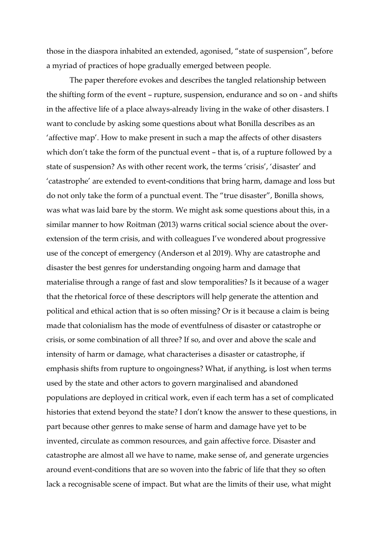those in the diaspora inhabited an extended, agonised, "state of suspension", before a myriad of practices of hope gradually emerged between people.

The paper therefore evokes and describes the tangled relationship between the shifting form of the event – rupture, suspension, endurance and so on - and shifts in the affective life of a place always-already living in the wake of other disasters. I want to conclude by asking some questions about what Bonilla describes as an 'affective map'. How to make present in such a map the affects of other disasters which don't take the form of the punctual event – that is, of a rupture followed by a state of suspension? As with other recent work, the terms 'crisis', 'disaster' and 'catastrophe' are extended to event-conditions that bring harm, damage and loss but do not only take the form of a punctual event. The "true disaster", Bonilla shows, was what was laid bare by the storm. We might ask some questions about this, in a similar manner to how Roitman (2013) warns critical social science about the overextension of the term crisis, and with colleagues I've wondered about progressive use of the concept of emergency (Anderson et al 2019). Why are catastrophe and disaster the best genres for understanding ongoing harm and damage that materialise through a range of fast and slow temporalities? Is it because of a wager that the rhetorical force of these descriptors will help generate the attention and political and ethical action that is so often missing? Or is it because a claim is being made that colonialism has the mode of eventfulness of disaster or catastrophe or crisis, or some combination of all three? If so, and over and above the scale and intensity of harm or damage, what characterises a disaster or catastrophe, if emphasis shifts from rupture to ongoingness? What, if anything, is lost when terms used by the state and other actors to govern marginalised and abandoned populations are deployed in critical work, even if each term has a set of complicated histories that extend beyond the state? I don't know the answer to these questions, in part because other genres to make sense of harm and damage have yet to be invented, circulate as common resources, and gain affective force. Disaster and catastrophe are almost all we have to name, make sense of, and generate urgencies around event-conditions that are so woven into the fabric of life that they so often lack a recognisable scene of impact. But what are the limits of their use, what might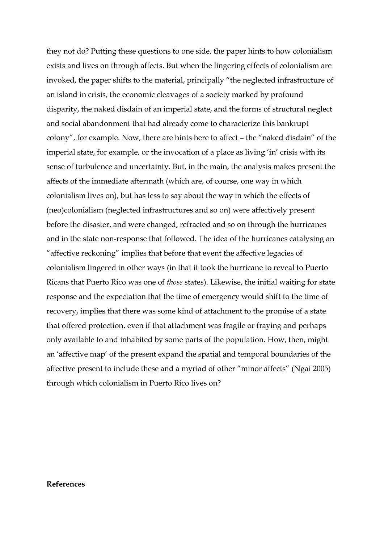they not do? Putting these questions to one side, the paper hints to how colonialism exists and lives on through affects. But when the lingering effects of colonialism are invoked, the paper shifts to the material, principally "the neglected infrastructure of an island in crisis, the economic cleavages of a society marked by profound disparity, the naked disdain of an imperial state, and the forms of structural neglect and social abandonment that had already come to characterize this bankrupt colony", for example. Now, there are hints here to affect – the "naked disdain" of the imperial state, for example, or the invocation of a place as living 'in' crisis with its sense of turbulence and uncertainty. But, in the main, the analysis makes present the affects of the immediate aftermath (which are, of course, one way in which colonialism lives on), but has less to say about the way in which the effects of (neo)colonialism (neglected infrastructures and so on) were affectively present before the disaster, and were changed, refracted and so on through the hurricanes and in the state non-response that followed. The idea of the hurricanes catalysing an "affective reckoning" implies that before that event the affective legacies of colonialism lingered in other ways (in that it took the hurricane to reveal to Puerto Ricans that Puerto Rico was one of *those* states). Likewise, the initial waiting for state response and the expectation that the time of emergency would shift to the time of recovery, implies that there was some kind of attachment to the promise of a state that offered protection, even if that attachment was fragile or fraying and perhaps only available to and inhabited by some parts of the population. How, then, might an 'affective map' of the present expand the spatial and temporal boundaries of the affective present to include these and a myriad of other "minor affects" (Ngai 2005) through which colonialism in Puerto Rico lives on?

### **References**